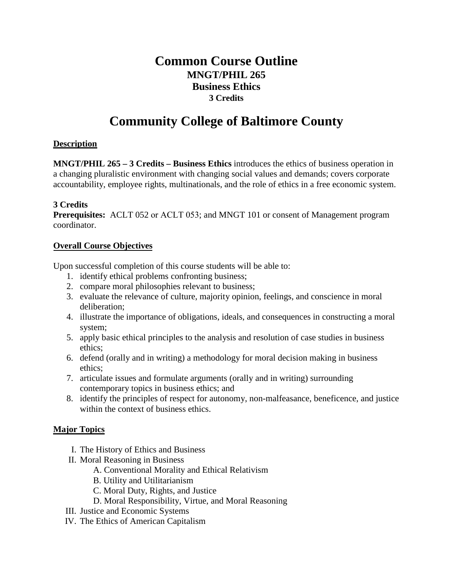# **Common Course Outline MNGT/PHIL 265 Business Ethics 3 Credits**

# **Community College of Baltimore County**

#### **Description**

**MNGT/PHIL 265 – 3 Credits – Business Ethics** introduces the ethics of business operation in a changing pluralistic environment with changing social values and demands; covers corporate accountability, employee rights, multinationals, and the role of ethics in a free economic system.

### **3 Credits**

**Prerequisites:** ACLT 052 or ACLT 053; and MNGT 101 or consent of Management program coordinator.

### **Overall Course Objectives**

Upon successful completion of this course students will be able to:

- 1. identify ethical problems confronting business;
- 2. compare moral philosophies relevant to business;
- 3. evaluate the relevance of culture, majority opinion, feelings, and conscience in moral deliberation;
- 4. illustrate the importance of obligations, ideals, and consequences in constructing a moral system;
- 5. apply basic ethical principles to the analysis and resolution of case studies in business ethics;
- 6. defend (orally and in writing) a methodology for moral decision making in business ethics;
- 7. articulate issues and formulate arguments (orally and in writing) surrounding contemporary topics in business ethics; and
- 8. identify the principles of respect for autonomy, non-malfeasance, beneficence, and justice within the context of business ethics.

## **Major Topics**

- I. The History of Ethics and Business
- II. Moral Reasoning in Business
	- A. Conventional Morality and Ethical Relativism
	- B. Utility and Utilitarianism
	- C. Moral Duty, Rights, and Justice
	- D. Moral Responsibility, Virtue, and Moral Reasoning
- III. Justice and Economic Systems
- IV. The Ethics of American Capitalism